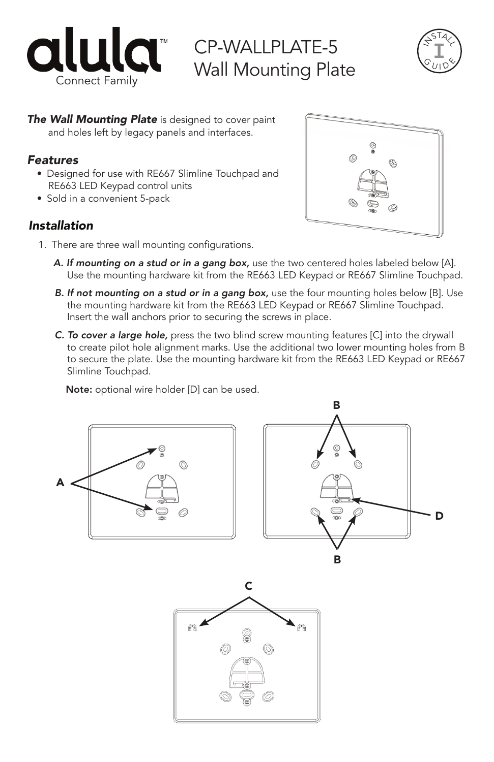

CP-WALLPLATE-5 Wall Mounting Plate



*The Wall Mounting Plate* is designed to cover paint and holes left by legacy panels and interfaces.

## *Features*

- Designed for use with RE667 Slimline Touchpad and RE663 LED Keypad control units
- Sold in a convenient 5-pack

## *Installation*



- 1. There are three wall mounting configurations.
	- *A. If mounting on a stud or in a gang box,* use the two centered holes labeled below [A]. Use the mounting hardware kit from the RE663 LED Keypad or RE667 Slimline Touchpad.
	- **B.** If not mounting on a stud or in a gang box, use the four mounting holes below [B]. Use the mounting hardware kit from the RE663 LED Keypad or RE667 Slimline Touchpad. Insert the wall anchors prior to securing the screws in place.
	- *C. To cover a large hole,* press the two blind screw mounting features [C] into the drywall to create pilot hole alignment marks. Use the additional two lower mounting holes from B to secure the plate. Use the mounting hardware kit from the RE663 LED Keypad or RE667 Slimline Touchpad.

Note: optional wire holder [D] can be used.